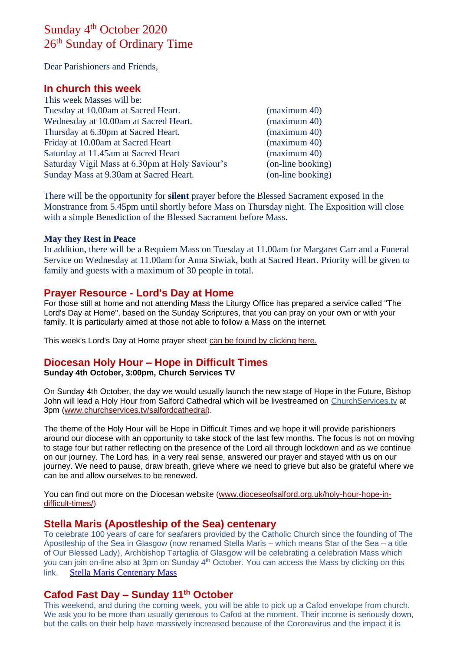# Sunday 4<sup>th</sup> October 2020 26<sup>th</sup> Sunday of Ordinary Time

Dear Parishioners and Friends,

# **In church this week**

| This week Masses will be:                       |                   |
|-------------------------------------------------|-------------------|
| Tuesday at 10.00am at Sacred Heart.             | (maximum 40)      |
| Wednesday at 10.00am at Sacred Heart.           | (maximum 40)      |
| Thursday at 6.30pm at Sacred Heart.             | (maximum 40)      |
| Friday at 10.00am at Sacred Heart               | (maximum 40)      |
| Saturday at 11.45am at Sacred Heart             | (maximum 40)      |
| Saturday Vigil Mass at 6.30pm at Holy Saviour's | (on-line booking) |
| Sunday Mass at 9.30am at Sacred Heart.          | (on-line booking) |

There will be the opportunity for **silent** prayer before the Blessed Sacrament exposed in the Monstrance from 5.45pm until shortly before Mass on Thursday night. The Exposition will close with a simple Benediction of the Blessed Sacrament before Mass.

#### **May they Rest in Peace**

In addition, there will be a Requiem Mass on Tuesday at 11.00am for Margaret Carr and a Funeral Service on Wednesday at 11.00am for Anna Siwiak, both at Sacred Heart. Priority will be given to family and guests with a maximum of 30 people in total.

# **Prayer Resource - Lord's Day at Home**

For those still at home and not attending Mass the Liturgy Office has prepared a service called "The Lord's Day at Home", based on the Sunday Scriptures, that you can pray on your own or with your family. It is particularly aimed at those not able to follow a Mass on the internet.

This week's Lord's Day at Home prayer sheet [can be found by clicking here.](https://dioceseofsalford.us6.list-manage.com/track/click?u=76e219dab8653b775ba8aac4c&id=8833deac60&e=5ce69633f0)

# **Diocesan Holy Hour – Hope in Difficult Times**

#### **Sunday 4th October, 3:00pm, Church Services TV**

On Sunday 4th October, the day we would usually launch the new stage of Hope in the Future, Bishop John will lead a Holy Hour from Salford Cathedral which will be livestreamed on [ChurchServices.tv](http://churchservices.tv/) at 3pm [\(www.churchservices.tv/salfordcathedral\)](https://dioceseofsalford.us6.list-manage.com/track/click?u=76e219dab8653b775ba8aac4c&id=9e93c57517&e=5ce69633f0).

The theme of the Holy Hour will be Hope in Difficult Times and we hope it will provide parishioners around our diocese with an opportunity to take stock of the last few months. The focus is not on moving to stage four but rather reflecting on the presence of the Lord all through lockdown and as we continue on our journey. The Lord has, in a very real sense, answered our prayer and stayed with us on our journey. We need to pause, draw breath, grieve where we need to grieve but also be grateful where we can be and allow ourselves to be renewed.

You can find out more on the Diocesan website [\(www.dioceseofsalford.org.uk/holy-hour-hope-in](https://dioceseofsalford.us6.list-manage.com/track/click?u=76e219dab8653b775ba8aac4c&id=0203557f66&e=5ce69633f0)[difficult-times/\)](https://dioceseofsalford.us6.list-manage.com/track/click?u=76e219dab8653b775ba8aac4c&id=0203557f66&e=5ce69633f0)

#### **Stella Maris (Apostleship of the Sea) centenary**

To celebrate 100 years of care for seafarers provided by the Catholic Church since the founding of The Apostleship of the Sea in Glasgow (now renamed Stella Maris – which means Star of the Sea – a title of Our Blessed Lady), Archbishop Tartaglia of Glasgow will be celebrating a celebration Mass which you can join on-line also at 3pm on Sunday 4<sup>th</sup> October. You can access the Mass by clicking on this link. [Stella Maris Centenary Mass](https://www.stellamaris.org.uk/centenarymass/)

# **Cafod Fast Day – Sunday 11th October**

This weekend, and during the coming week, you will be able to pick up a Cafod envelope from church. We ask you to be more than usually generous to Cafod at the moment. Their income is seriously down, but the calls on their help have massively increased because of the Coronavirus and the impact it is